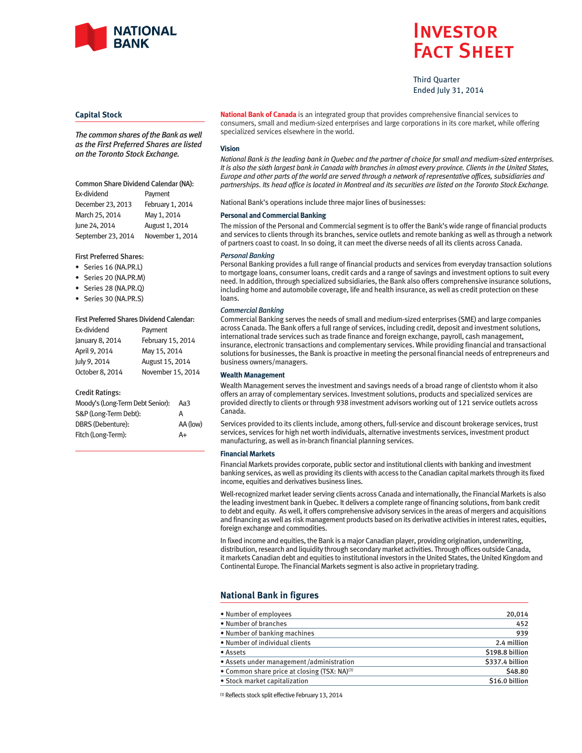

# **INVESTOR** Fact Sheet

Third Quarter Ended July 31, 2014

## **Capital Stock**

*The common shares of the Bank as well as the First Preferred Shares are listed on the Toronto Stock Exchange.*

# Common Share Dividend Calendar (NA): Ex-dividend Payment December 23, 2013 February 1, 2014

| March 25, 2014     | May 1, 2014      |
|--------------------|------------------|
| June 24, 2014      | August 1, 2014   |
| September 23, 2014 | November 1, 2014 |

# First Preferred Shares:

- Series 16 (NA.PR.L)
- Series 20 (NA.PR.M)
- Series 28 (NA.PR.Q)
- Series 30 (NA.PR.S)

#### First Preferred Shares Dividend Calendar:

| Ex-dividend     | Payment           |  |
|-----------------|-------------------|--|
| January 8, 2014 | February 15, 2014 |  |
| April 9, 2014   | May 15, 2014      |  |
| July 9, 2014    | August 15, 2014   |  |
| October 8, 2014 | November 15, 2014 |  |

#### Credit Ratings:

| Moody's (Long-Term Debt Senior): | Aa3      |
|----------------------------------|----------|
| S&P (Long-Term Debt):            | А        |
| <b>DBRS</b> (Debenture):         | AA (low) |
| Fitch (Long-Term):               | A+       |

**National Bank of Canada** is an integrated group that provides comprehensive financial services to consumers, small and medium-sized enterprises and large corporations in its core market, while offering specialized services elsewhere in the world.

#### **Vision**

*National Bank is the leading bank in Quebec and the partner of choice for small and medium-sized enterprises. It is also the sixth largest bank in Canada with branches in almost every province. Clients in the United States, Europe and other parts of the world are served through a network of representative offices, subsidiaries and partnerships. Its head office is located in Montreal and its securities are listed on the Toronto Stock Exchange.*

National Bank's operations include three major lines of businesses:

#### **Personal and Commercial Banking**

The mission of the Personal and Commercial segment is to offer the Bank's wide range of financial products and services to clients through its branches, service outlets and remote banking as well as through a network of partners coast to coast. In so doing, it can meet the diverse needs of all its clients across Canada.

## *Personal Banking*

Personal Banking provides a full range of financial products and services from everyday transaction solutions to mortgage loans, consumer loans, credit cards and a range of savings and investment options to suit every need. In addition, through specialized subsidiaries, the Bank also offers comprehensive insurance solutions, including home and automobile coverage, life and health insurance, as well as credit protection on these loans.

#### *Commercial Banking*

Commercial Banking serves the needs of small and medium-sized enterprises (SME) and large companies across Canada. The Bank offers a full range of services, including credit, deposit and investment solutions, international trade services such as trade finance and foreign exchange, payroll, cash management, insurance, electronic transactions and complementary services. While providing financial and transactional solutions for businesses, the Bank is proactive in meeting the personal financial needs of entrepreneurs and business owners/managers.

#### **Wealth Management**

Wealth Management serves the investment and savings needs of a broad range of clientsto whom it also offers an array of complementary services. Investment solutions, products and specialized services are provided directly to clients or through 938 investment advisors working out of 121 service outlets across Canada.

Services provided to its clients include, among others, full-service and discount brokerage services, trust services, services for high net worth individuals, alternative investments services, investment product manufacturing, as well as in-branch financial planning services.

### **Financial Markets**

Financial Markets provides corporate, public sector and institutional clients with banking and investment banking services, as well as providing its clients with access to the Canadian capital markets through its fixed income, equities and derivatives business lines.

Well-recognized market leader serving clients across Canada and internationally, the Financial Markets is also the leading investment bank in Quebec. It delivers a complete range of financing solutions, from bank credit to debt and equity. As well, it offers comprehensive advisory services in the areas of mergers and acquisitions and financing as well as risk management products based on its derivative activities in interest rates, equities, foreign exchange and commodities.

In fixed income and equities, the Bank is a major Canadian player, providing origination, underwriting, distribution, research and liquidity through secondary market activities. Through offices outside Canada, it markets Canadian debt and equities to institutional investors in the United States, the United Kingdom and Continental Europe. The Financial Markets segment is also active in proprietary trading.

# **National Bank in figures**

| • Number of employees                                    | 20,014          |
|----------------------------------------------------------|-----------------|
| • Number of branches                                     | 452             |
| • Number of banking machines                             | 939             |
| • Number of individual clients                           | 2.4 million     |
| • Assets                                                 | \$198.8 billion |
| • Assets under management/administration                 | \$337.4 billion |
| • Common share price at closing (TSX: NA) <sup>(3)</sup> | \$48.80         |
| • Stock market capitalization                            | \$16.0 billion  |

(3) Reflects stock split effective February 13, 2014